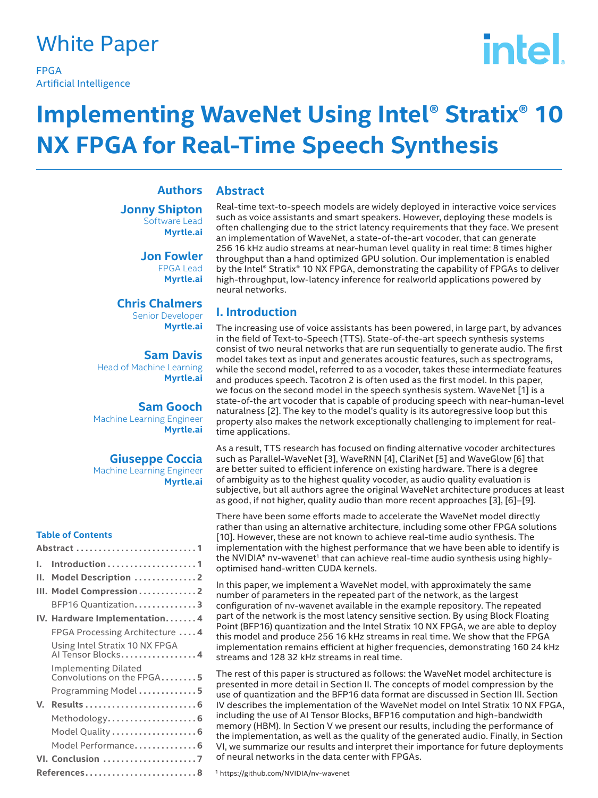### White Paper

FPGA Artificial Intelligence

# intel.

## **Implementing WaveNet Using Intel® Stratix® 10 NX FPGA for Real-Time Speech Synthesis**

**Jonny Shipton** Software Lead **Myrtle.ai**

> **Jon Fowler** FPGA Lead **Myrtle.ai**

**Chris Chalmers** Senior Developer **Myrtle.ai**

**Sam Davis** Head of Machine Learning **Myrtle.ai**

**Sam Gooch** Machine Learning Engineer **Myrtle.ai**

#### **Giuseppe Coccia**

Machine Learning Engineer **Myrtle.ai**

#### **Table of Contents**

| L.          |                                                          |  |
|-------------|----------------------------------------------------------|--|
| н.          | Model Description 2                                      |  |
|             | III. Model Compression2                                  |  |
|             | BFP16 Quantization3                                      |  |
|             | IV. Hardware Implementation4                             |  |
|             | FPGA Processing Architecture  4                          |  |
|             | Using Intel Stratix 10 NX FPGA<br>Al Tensor Blocks4      |  |
|             | <b>Implementing Dilated</b><br>Convolutions on the FPGA5 |  |
|             | Programming Model5                                       |  |
| V.          |                                                          |  |
|             | Methodology 6                                            |  |
|             | Model Quality  6                                         |  |
|             | Model Performance 6                                      |  |
|             | VI. Conclusion 7                                         |  |
| References8 |                                                          |  |

#### **Abstract Authors**

Real-time text-to-speech models are widely deployed in interactive voice services such as voice assistants and smart speakers. However, deploying these models is often challenging due to the strict latency requirements that they face. We present an implementation of WaveNet, a state-of-the-art vocoder, that can generate 256 16 kHz audio streams at near-human level quality in real time: 8 times higher throughput than a hand optimized GPU solution. Our implementation is enabled by the Intel® Stratix® 10 NX FPGA, demonstrating the capability of FPGAs to deliver high-throughput, low-latency inference for realworld applications powered by neural networks.

### **I. Introduction**

The increasing use of voice assistants has been powered, in large part, by advances in the field of Text-to-Speech (TTS). State-of-the-art speech synthesis systems consist of two neural networks that are run sequentially to generate audio. The first model takes text as input and generates acoustic features, such as spectrograms, while the second model, referred to as a vocoder, takes these intermediate features and produces speech. Tacotron 2 is often used as the first model. In this paper, we focus on the second model in the speech synthesis system. WaveNet [1] is a state-of-the art vocoder that is capable of producing speech with near-human-level naturalness [2]. The key to the model's quality is its autoregressive loop but this property also makes the network exceptionally challenging to implement for realtime applications.

As a result, TTS research has focused on finding alternative vocoder architectures such as Parallel-WaveNet [3], WaveRNN [4], ClariNet [5] and WaveGlow [6] that are better suited to efficient inference on existing hardware. There is a degree of ambiguity as to the highest quality vocoder, as audio quality evaluation is subjective, but all authors agree the original WaveNet architecture produces at least as good, if not higher, quality audio than more recent approaches [3], [6]–[9].

There have been some efforts made to accelerate the WaveNet model directly rather than using an alternative architecture, including some other FPGA solutions [10]. However, these are not known to achieve real-time audio synthesis. The implementation with the highest performance that we have been able to identify is the NVIDIA\* nv-wavenet<sup>1</sup> that can achieve real-time audio synthesis using highlyoptimised hand-written CUDA kernels.

In this paper, we implement a WaveNet model, with approximately the same number of parameters in the repeated part of the network, as the largest configuration of nv-wavenet available in the example repository. The repeated part of the network is the most latency sensitive section. By using Block Floating Point (BFP16) quantization and the Intel Stratix 10 NX FPGA, we are able to deploy this model and produce 256 16 kHz streams in real time. We show that the FPGA implementation remains efficient at higher frequencies, demonstrating 160 24 kHz streams and 128 32 kHz streams in real time.

The rest of this paper is structured as follows: the WaveNet model architecture is presented in more detail in Section II. The concepts of model compression by the use of quantization and the BFP16 data format are discussed in Section III. Section IV describes the implementation of the WaveNet model on Intel Stratix 10 NX FPGA, including the use of AI Tensor Blocks, BFP16 computation and high-bandwidth memory (HBM). In Section V we present our results, including the performance of the implementation, as well as the quality of the generated audio. Finally, in Section VI, we summarize our results and interpret their importance for future deployments of neural networks in the data center with FPGAs.

1 https://github.com/NVIDIA/nv-wavenet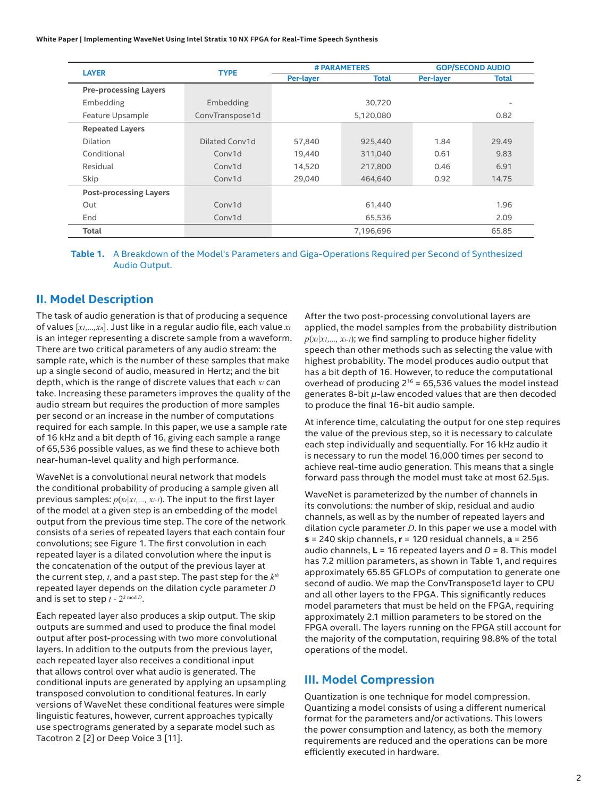**White Paper | Implementing WaveNet Using Intel Stratix 10 NX FPGA for Real-Time Speech Synthesis**

|                               |                 | # PARAMETERS |              | <b>GOP/SECOND AUDIO</b> |       |
|-------------------------------|-----------------|--------------|--------------|-------------------------|-------|
| <b>LAYER</b>                  | <b>TYPE</b>     | Per-layer    | <b>Total</b> | <b>Per-layer</b>        | Total |
| <b>Pre-processing Layers</b>  |                 |              |              |                         |       |
| Embedding                     | Embedding       |              | 30,720       |                         |       |
| Feature Upsample              | ConvTranspose1d |              | 5,120,080    |                         | 0.82  |
| <b>Repeated Layers</b>        |                 |              |              |                         |       |
| Dilation                      | Dilated Conv1d  | 57,840       | 925,440      | 1.84                    | 29.49 |
| Conditional                   | Conv1d          | 19,440       | 311,040      | 0.61                    | 9.83  |
| Residual                      | Conv1d          | 14,520       | 217,800      | 0.46                    | 6.91  |
| Skip                          | Conv1d          | 29,040       | 464,640      | 0.92                    | 14.75 |
| <b>Post-processing Layers</b> |                 |              |              |                         |       |
| Out                           | Conv1d          | 61,440       |              | 1.96                    |       |
| End                           | Conv1d          | 65,536       |              | 2.09                    |       |
| Total                         |                 |              | 7,196,696    |                         | 65.85 |

**Table 1.** A Breakdown of the Model's Parameters and Giga-Operations Required per Second of Synthesized Audio Output.

#### **II. Model Description**

The task of audio generation is that of producing a sequence of values [*x1,...,xn*]. Just like in a regular audio file, each value *xi* is an integer representing a discrete sample from a waveform. There are two critical parameters of any audio stream: the sample rate, which is the number of these samples that make up a single second of audio, measured in Hertz; and the bit depth, which is the range of discrete values that each *xi* can take. Increasing these parameters improves the quality of the audio stream but requires the production of more samples per second or an increase in the number of computations required for each sample. In this paper, we use a sample rate of 16 kHz and a bit depth of 16, giving each sample a range of 65,536 possible values, as we find these to achieve both near-human-level quality and high performance.

WaveNet is a convolutional neural network that models the conditional probability of producing a sample given all previous samples: *p*(*xt|x1,..., xi-1*). The input to the first layer of the model at a given step is an embedding of the model output from the previous time step. The core of the network consists of a series of repeated layers that each contain four convolutions; see Figure 1. The first convolution in each repeated layer is a dilated convolution where the input is the concatenation of the output of the previous layer at the current step, *t*, and a past step. The past step for the *kth* repeated layer depends on the dilation cycle parameter *D* and is set to step  $t - 2^{k \mod D}$ .

Each repeated layer also produces a skip output. The skip outputs are summed and used to produce the final model output after post-processing with two more convolutional layers. In addition to the outputs from the previous layer, each repeated layer also receives a conditional input that allows control over what audio is generated. The conditional inputs are generated by applying an upsampling transposed convolution to conditional features. In early versions of WaveNet these conditional features were simple linguistic features, however, current approaches typically use spectrograms generated by a separate model such as Tacotron 2 [2] or Deep Voice 3 [11].

After the two post-processing convolutional layers are applied, the model samples from the probability distribution  $p(x_t|x_1,...,x_{t-1})$ ; we find sampling to produce higher fidelity speech than other methods such as selecting the value with highest probability. The model produces audio output that has a bit depth of 16. However, to reduce the computational overhead of producing  $2^{16}$  = 65,536 values the model instead generates 8-bit *µ*-law encoded values that are then decoded to produce the final 16-bit audio sample.

At inference time, calculating the output for one step requires the value of the previous step, so it is necessary to calculate each step individually and sequentially. For 16 kHz audio it is necessary to run the model 16,000 times per second to achieve real-time audio generation. This means that a single forward pass through the model must take at most 62.5μs.

WaveNet is parameterized by the number of channels in its convolutions: the number of skip, residual and audio channels, as well as by the number of repeated layers and dilation cycle parameter *D*. In this paper we use a model with **s** = 240 skip channels, **r** = 120 residual channels, **a** = 256 audio channels, **L** = 16 repeated layers and *D* = 8. This model has 7.2 million parameters, as shown in Table 1, and requires approximately 65.85 GFLOPs of computation to generate one second of audio. We map the ConvTranspose1d layer to CPU and all other layers to the FPGA. This significantly reduces model parameters that must be held on the FPGA, requiring approximately 2.1 million parameters to be stored on the FPGA overall. The layers running on the FPGA still account for the majority of the computation, requiring 98.8% of the total operations of the model.

#### **III. Model Compression**

Quantization is one technique for model compression. Quantizing a model consists of using a different numerical format for the parameters and/or activations. This lowers the power consumption and latency, as both the memory requirements are reduced and the operations can be more efficiently executed in hardware.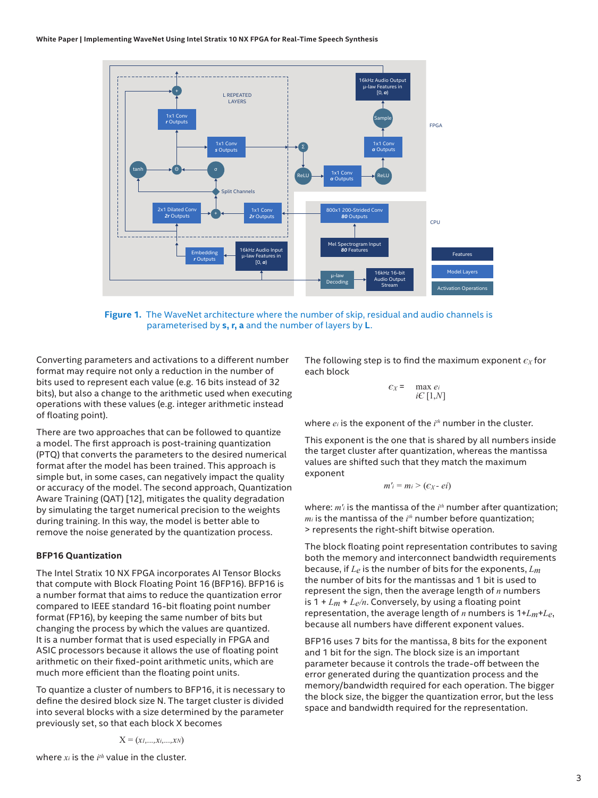

**Figure 1.** The WaveNet architecture where the number of skip, residual and audio channels is parameterised by **s, r, a** and the number of layers by **L**.

Converting parameters and activations to a different number format may require not only a reduction in the number of bits used to represent each value (e.g. 16 bits instead of 32 bits), but also a change to the arithmetic used when executing operations with these values (e.g. integer arithmetic instead of floating point).

There are two approaches that can be followed to quantize a model. The first approach is post-training quantization (PTQ) that converts the parameters to the desired numerical format after the model has been trained. This approach is simple but, in some cases, can negatively impact the quality or accuracy of the model. The second approach, Quantization Aware Training (QAT) [12], mitigates the quality degradation by simulating the target numerical precision to the weights during training. In this way, the model is better able to remove the noise generated by the quantization process.

#### **BFP16 Quantization**

The Intel Stratix 10 NX FPGA incorporates AI Tensor Blocks that compute with Block Floating Point 16 (BFP16). BFP16 is a number format that aims to reduce the quantization error compared to IEEE standard 16-bit floating point number format (FP16), by keeping the same number of bits but changing the process by which the values are quantized. It is a number format that is used especially in FPGA and ASIC processors because it allows the use of floating point arithmetic on their fixed-point arithmetic units, which are much more efficient than the floating point units.

To quantize a cluster of numbers to BFP16, it is necessary to define the desired block size N. The target cluster is divided into several blocks with a size determined by the parameter previously set, so that each block X becomes

$$
\mathbf{X} = (x_1,...,x_i,...,x_N)
$$

The following step is to find the maximum exponent *єX* for each block

$$
c_X = \max_{i \in [1,N]}
$$

where *ei* is the exponent of the *i th* number in the cluster.

This exponent is the one that is shared by all numbers inside the target cluster after quantization, whereas the mantissa values are shifted such that they match the maximum exponent

$$
m'i = mi > (c_X - ei)
$$

where: *m'i* is the mantissa of the *i th* number after quantization; *mi* is the mantissa of the *i th* number before quantization; > represents the right-shift bitwise operation.

The block floating point representation contributes to saving both the memory and interconnect bandwidth requirements because, if *Le* is the number of bits for the exponents, *Lm* the number of bits for the mantissas and 1 bit is used to represent the sign, then the average length of *n* numbers is 1 + *Lm* + *Le/n*. Conversely, by using a floating point representation, the average length of *n* numbers is 1+*Lm*+*Le*, because all numbers have different exponent values.

BFP16 uses 7 bits for the mantissa, 8 bits for the exponent and 1 bit for the sign. The block size is an important parameter because it controls the trade-off between the error generated during the quantization process and the memory/bandwidth required for each operation. The bigger the block size, the bigger the quantization error, but the less space and bandwidth required for the representation.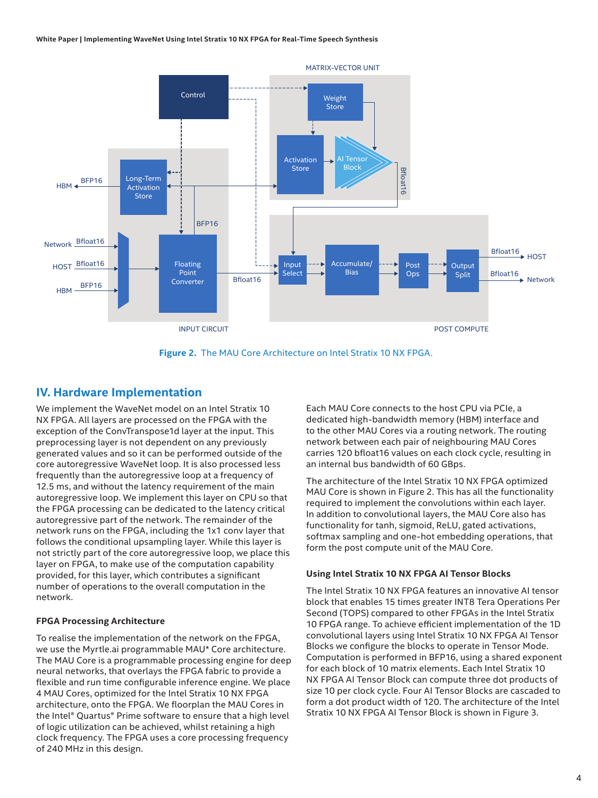

**Figure 2.** The MAU Core Architecture on Intel Stratix 10 NX FPGA.

#### **IV. Hardware Implementation**

We implement the WaveNet model on an Intel Stratix 10 NX FPGA. All layers are processed on the FPGA with the exception of the ConvTranspose1d layer at the input. This preprocessing layer is not dependent on any previously generated values and so it can be performed outside of the core autoregressive WaveNet loop. It is also processed less frequently than the autoregressive loop at a frequency of 12.5 ms, and without the latency requirement of the main autoregressive loop. We implement this layer on CPU so that the FPGA processing can be dedicated to the latency critical autoregressive part of the network. The remainder of the network runs on the FPGA, including the 1x1 conv layer that follows the conditional upsampling layer. While this layer is not strictly part of the core autoregressive loop, we place this layer on FPGA, to make use of the computation capability provided, for this layer, which contributes a significant number of operations to the overall computation in the network.

#### **FPGA Processing Architecture**

To realise the implementation of the network on the FPGA, we use the Myrtle.ai programmable MAU\* Core architecture. The MAU Core is a programmable processing engine for deep neural networks, that overlays the FPGA fabric to provide a flexible and run time configurable inference engine. We place 4 MAU Cores, optimized for the Intel Stratix 10 NX FPGA architecture, onto the FPGA. We floorplan the MAU Cores in the Intel® Quartus® Prime software to ensure that a high level of logic utilization can be achieved, whilst retaining a high clock frequency. The FPGA uses a core processing frequency of 240 MHz in this design.

Each MAU Core connects to the host CPU via PCIe, a dedicated high-bandwidth memory (HBM) interface and to the other MAU Cores via a routing network. The routing network between each pair of neighbouring MAU Cores carries 120 bfloat16 values on each clock cycle, resulting in an internal bus bandwidth of 60 GBps.

The architecture of the Intel Stratix 10 NX FPGA optimized MAU Core is shown in Figure 2. This has all the functionality required to implement the convolutions within each layer. In addition to convolutional layers, the MAU Core also has functionality for tanh, sigmoid, ReLU, gated activations, softmax sampling and one-hot embedding operations, that form the post compute unit of the MAU Core.

#### **Using Intel Stratix 10 NX FPGA AI Tensor Blocks**

The Intel Stratix 10 NX FPGA features an innovative AI tensor block that enables 15 times greater INT8 Tera Operations Per Second (TOPS) compared to other FPGAs in the Intel Stratix 10 FPGA range. To achieve efficient implementation of the 1D convolutional layers using Intel Stratix 10 NX FPGA AI Tensor Blocks we configure the blocks to operate in Tensor Mode. Computation is performed in BFP16, using a shared exponent for each block of 10 matrix elements. Each Intel Stratix 10 NX FPGA AI Tensor Block can compute three dot products of size 10 per clock cycle. Four AI Tensor Blocks are cascaded to form a dot product width of 120. The architecture of the Intel Stratix 10 NX FPGA AI Tensor Block is shown in Figure 3.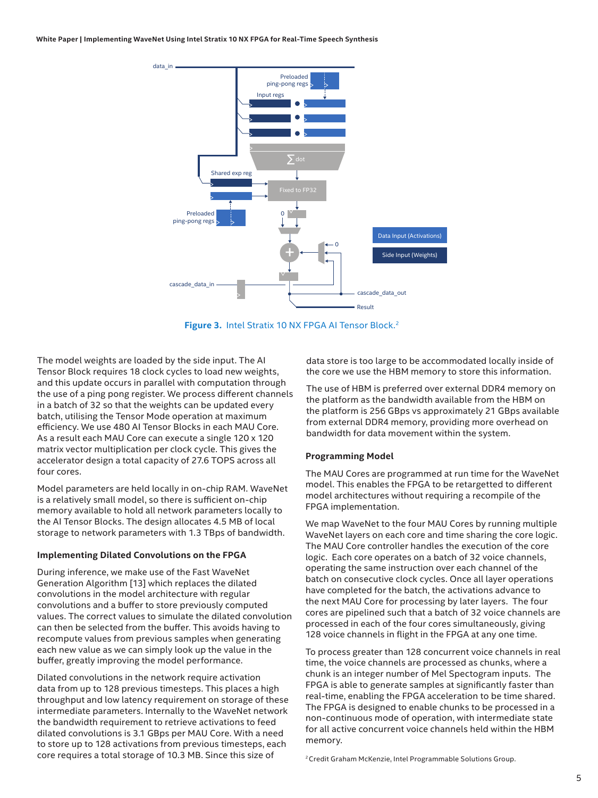

Figure 3. Intel Stratix 10 NX FPGA AI Tensor Block.<sup>2</sup>

The model weights are loaded by the side input. The AI Tensor Block requires 18 clock cycles to load new weights, and this update occurs in parallel with computation through the use of a ping pong register. We process different channels in a batch of 32 so that the weights can be updated every batch, utilising the Tensor Mode operation at maximum efficiency. We use 480 AI Tensor Blocks in each MAU Core. As a result each MAU Core can execute a single 120 x 120 matrix vector multiplication per clock cycle. This gives the accelerator design a total capacity of 27.6 TOPS across all four cores.

Model parameters are held locally in on-chip RAM. WaveNet is a relatively small model, so there is sufficient on-chip memory available to hold all network parameters locally to the AI Tensor Blocks. The design allocates 4.5 MB of local storage to network parameters with 1.3 TBps of bandwidth.

#### **Implementing Dilated Convolutions on the FPGA**

During inference, we make use of the Fast WaveNet Generation Algorithm [13] which replaces the dilated convolutions in the model architecture with regular convolutions and a buffer to store previously computed values. The correct values to simulate the dilated convolution can then be selected from the buffer. This avoids having to recompute values from previous samples when generating each new value as we can simply look up the value in the buffer, greatly improving the model performance.

Dilated convolutions in the network require activation data from up to 128 previous timesteps. This places a high throughput and low latency requirement on storage of these intermediate parameters. Internally to the WaveNet network the bandwidth requirement to retrieve activations to feed dilated convolutions is 3.1 GBps per MAU Core. With a need to store up to 128 activations from previous timesteps, each core requires a total storage of 10.3 MB. Since this size of

data store is too large to be accommodated locally inside of the core we use the HBM memory to store this information.

The use of HBM is preferred over external DDR4 memory on the platform as the bandwidth available from the HBM on the platform is 256 GBps vs approximately 21 GBps available from external DDR4 memory, providing more overhead on bandwidth for data movement within the system.

#### **Programming Model**

The MAU Cores are programmed at run time for the WaveNet model. This enables the FPGA to be retargetted to different model architectures without requiring a recompile of the FPGA implementation.

We map WaveNet to the four MAU Cores by running multiple WaveNet layers on each core and time sharing the core logic. The MAU Core controller handles the execution of the core logic. Each core operates on a batch of 32 voice channels, operating the same instruction over each channel of the batch on consecutive clock cycles. Once all layer operations have completed for the batch, the activations advance to the next MAU Core for processing by later layers. The four cores are pipelined such that a batch of 32 voice channels are processed in each of the four cores simultaneously, giving 128 voice channels in flight in the FPGA at any one time.

To process greater than 128 concurrent voice channels in real time, the voice channels are processed as chunks, where a chunk is an integer number of Mel Spectogram inputs. The FPGA is able to generate samples at significantly faster than real-time, enabling the FPGA acceleration to be time shared. The FPGA is designed to enable chunks to be processed in a non-continuous mode of operation, with intermediate state for all active concurrent voice channels held within the HBM memory.

2 Credit Graham McKenzie, Intel Programmable Solutions Group.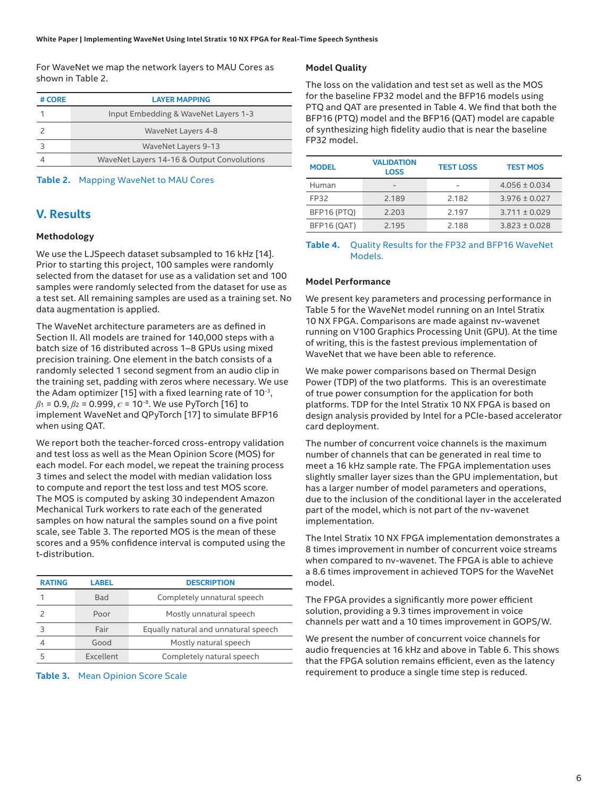For WaveNet we map the network layers to MAU Cores as shown in Table 2.

| # CORE | <b>LAYER MAPPING</b>                       |  |  |
|--------|--------------------------------------------|--|--|
|        | Input Embedding & WaveNet Layers 1-3       |  |  |
|        | WaveNet Layers 4-8                         |  |  |
|        | WaveNet Layers 9-13                        |  |  |
|        | WaveNet Layers 14-16 & Output Convolutions |  |  |

**Table 2.** Mapping WaveNet to MAU Cores

#### **V. Results**

#### **Methodology**

We use the LJSpeech dataset subsampled to 16 kHz [14]. Prior to starting this project, 100 samples were randomly selected from the dataset for use as a validation set and 100 samples were randomly selected from the dataset for use as a test set. All remaining samples are used as a training set. No data augmentation is applied.

The WaveNet architecture parameters are as defined in Section II. All models are trained for 140,000 steps with a batch size of 16 distributed across 1–8 GPUs using mixed precision training. One element in the batch consists of a randomly selected 1 second segment from an audio clip in the training set, padding with zeros where necessary. We use the Adam optimizer [15] with a fixed learning rate of  $10^{-3}$ ,  $\beta_1$  = 0.9,  $\beta_2$  = 0.999,  $\epsilon$  = 10<sup>-8</sup>. We use PyTorch [16] to implement WaveNet and QPyTorch [17] to simulate BFP16 when using QAT.

We report both the teacher-forced cross-entropy validation and test loss as well as the Mean Opinion Score (MOS) for each model. For each model, we repeat the training process 3 times and select the model with median validation loss to compute and report the test loss and test MOS score. The MOS is computed by asking 30 independent Amazon Mechanical Turk workers to rate each of the generated samples on how natural the samples sound on a five point scale, see Table 3. The reported MOS is the mean of these scores and a 95% confidence interval is computed using the t-distribution.

| <b>RATING</b> | LABEL      | <b>DESCRIPTION</b>                   |  |
|---------------|------------|--------------------------------------|--|
|               | <b>Bad</b> | Completely unnatural speech          |  |
|               | Poor       | Mostly unnatural speech              |  |
|               | Fair       | Equally natural and unnatural speech |  |
|               | Good       | Mostly natural speech                |  |
| ↳             | Excellent  | Completely natural speech            |  |

**Table 3.** Mean Opinion Score Scale

#### **Model Quality**

The loss on the validation and test set as well as the MOS for the baseline FP32 model and the BFP16 models using PTQ and QAT are presented in Table 4. We find that both the BFP16 (PTQ) model and the BFP16 (QAT) model are capable of synthesizing high fidelity audio that is near the baseline FP32 model.

| <b>MODEL</b> | <b>VALIDATION</b><br><b>LOSS</b> | <b>TEST LOSS</b> | <b>TEST MOS</b>   |
|--------------|----------------------------------|------------------|-------------------|
| Human        |                                  |                  | $4.056 \pm 0.034$ |
| FP32         | 2.189                            | 2.182            | $3.976 \pm 0.027$ |
| BFP16 (PTQ)  | 2.203                            | 2.197            | $3.711 \pm 0.029$ |
| BFP16 (QAT)  | 2.195                            | 2.188            | $3.823 \pm 0.028$ |

#### **Table 4.** Quality Results for the FP32 and BFP16 WaveNet Models.

#### **Model Performance**

We present key parameters and processing performance in Table 5 for the WaveNet model running on an Intel Stratix 10 NX FPGA. Comparisons are made against nv-wavenet running on V100 Graphics Processing Unit (GPU). At the time of writing, this is the fastest previous implementation of WaveNet that we have been able to reference.

We make power comparisons based on Thermal Design Power (TDP) of the two platforms. This is an overestimate of true power consumption for the application for both platforms. TDP for the Intel Stratix 10 NX FPGA is based on design analysis provided by Intel for a PCIe-based accelerator card deployment.

The number of concurrent voice channels is the maximum number of channels that can be generated in real time to meet a 16 kHz sample rate. The FPGA implementation uses slightly smaller layer sizes than the GPU implementation, but has a larger number of model parameters and operations, due to the inclusion of the conditional layer in the accelerated part of the model, which is not part of the nv-wavenet implementation.

The Intel Stratix 10 NX FPGA implementation demonstrates a 8 times improvement in number of concurrent voice streams when compared to nv-wavenet. The FPGA is able to achieve a 8.6 times improvement in achieved TOPS for the WaveNet model.

The FPGA provides a significantly more power efficient solution, providing a 9.3 times improvement in voice channels per watt and a 10 times improvement in GOPS/W.

We present the number of concurrent voice channels for audio frequencies at 16 kHz and above in Table 6. This shows that the FPGA solution remains efficient, even as the latency requirement to produce a single time step is reduced.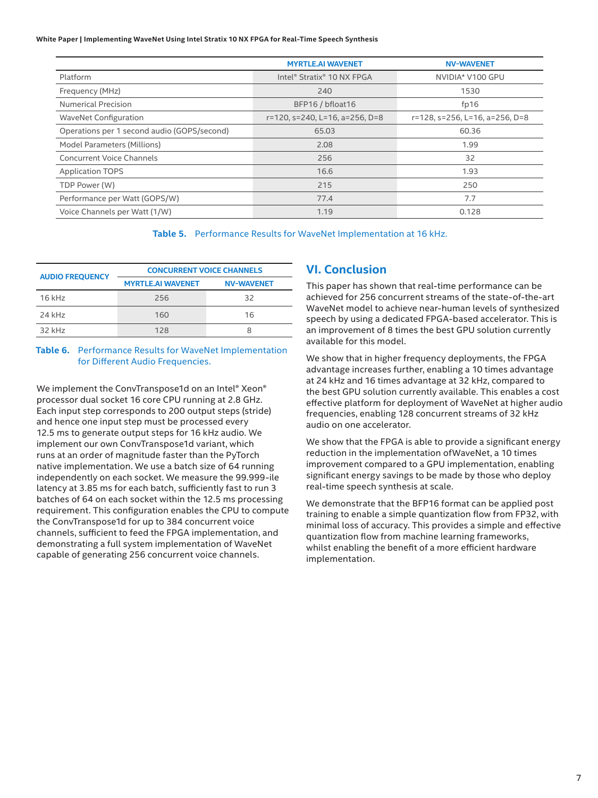**White Paper | Implementing WaveNet Using Intel Stratix 10 NX FPGA for Real-Time Speech Synthesis**

|                                             | <b>MYRTLE.AI WAVENET</b>       | <b>NV-WAVENET</b>              |
|---------------------------------------------|--------------------------------|--------------------------------|
| Platform                                    | Intel® Stratix® 10 NX FPGA     | NVIDIA* V100 GPU               |
| Frequency (MHz)                             | 240                            | 1530                           |
| <b>Numerical Precision</b>                  | BFP16 / bfloat16               | fp16                           |
| <b>WaveNet Configuration</b>                | r=120, s=240, L=16, a=256, D=8 | r=128, s=256, L=16, a=256, D=8 |
| Operations per 1 second audio (GOPS/second) | 65.03                          | 60.36                          |
| Model Parameters (Millions)                 | 2.08                           | 1.99                           |
| <b>Concurrent Voice Channels</b>            | 256                            | 32                             |
| <b>Application TOPS</b>                     | 16.6                           | 1.93                           |
| TDP Power (W)                               | 215                            | 250                            |
| Performance per Watt (GOPS/W)               | 77.4                           | 7.7                            |
| Voice Channels per Watt (1/W)               | 1.19                           | 0.128                          |

**Table 5.** Performance Results for WaveNet Implementation at 16 kHz.

| <b>AUDIO FREQUENCY</b> | <b>CONCURRENT VOICE CHANNELS</b> |                   |  |  |
|------------------------|----------------------------------|-------------------|--|--|
|                        | <b>MYRTLE.AI WAVENET</b>         | <b>NV-WAVENET</b> |  |  |
| $16$ kHz               | 256                              | 32                |  |  |
| 24 kHz                 | 160                              | 16                |  |  |
| $32$ kHz               | 128                              | 8                 |  |  |

#### **Table 6.** Performance Results for WaveNet Implementation for Different Audio Frequencies.

We implement the ConvTranspose1d on an Intel® Xeon® processor dual socket 16 core CPU running at 2.8 GHz. Each input step corresponds to 200 output steps (stride) and hence one input step must be processed every 12.5 ms to generate output steps for 16 kHz audio. We implement our own ConvTranspose1d variant, which runs at an order of magnitude faster than the PyTorch native implementation. We use a batch size of 64 running independently on each socket. We measure the 99.999-ile latency at 3.85 ms for each batch, sufficiently fast to run 3 batches of 64 on each socket within the 12.5 ms processing requirement. This configuration enables the CPU to compute the ConvTranspose1d for up to 384 concurrent voice channels, sufficient to feed the FPGA implementation, and demonstrating a full system implementation of WaveNet capable of generating 256 concurrent voice channels.

#### **VI. Conclusion**

This paper has shown that real-time performance can be achieved for 256 concurrent streams of the state-of-the-art WaveNet model to achieve near-human levels of synthesized speech by using a dedicated FPGA-based accelerator. This is an improvement of 8 times the best GPU solution currently available for this model.

We show that in higher frequency deployments, the FPGA advantage increases further, enabling a 10 times advantage at 24 kHz and 16 times advantage at 32 kHz, compared to the best GPU solution currently available. This enables a cost effective platform for deployment of WaveNet at higher audio frequencies, enabling 128 concurrent streams of 32 kHz audio on one accelerator.

We show that the FPGA is able to provide a significant energy reduction in the implementation ofWaveNet, a 10 times improvement compared to a GPU implementation, enabling significant energy savings to be made by those who deploy real-time speech synthesis at scale.

We demonstrate that the BFP16 format can be applied post training to enable a simple quantization flow from FP32, with minimal loss of accuracy. This provides a simple and effective quantization flow from machine learning frameworks, whilst enabling the benefit of a more efficient hardware implementation.